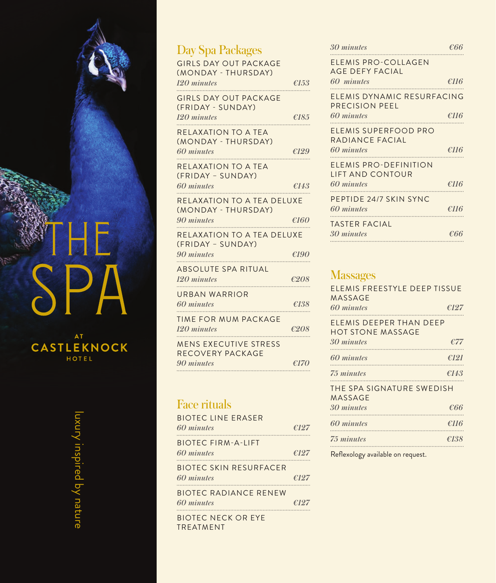## Day Spa Packages

| <b>GIRLS DAY OUT PACKAGE</b><br>(MONDAY - THURSDAY)              |                |
|------------------------------------------------------------------|----------------|
| 120 minutes                                                      | E153           |
| <b>GIRLS DAY OUT PACKAGE</b><br>(FRIDAY - SUNDAY)<br>120 minutes | £185           |
| RELAXATION TO A TEA<br>(MONDAY - THURSDAY)<br>60 minutes         | £129           |
| RELAXATION TO A TEA<br>(FRIDAY - SUNDAY)<br>60 minutes           | E14.3          |
| RELAXATION TO A TEA DELUXE<br>(MONDAY - THURSDAY)<br>90 minutes  | $\epsilon$ 160 |
| <b>RELAXATION TO A TEA DELUXE</b><br>(FRIDAY - SUNDAY)           |                |
| 90 minutes                                                       | E190           |
| ABSOLUTE SPA RITUAL<br>120 minutes                               | E208           |
| <b>URBAN WARRIOR</b><br>60 minutes                               | $\epsilon$ 138 |
| <b>TIME FOR MUM PACKAGE</b><br>120 minutes                       | E208           |
| <b>MENS EXECUTIVE STRESS</b><br>RECOVERY PACKAGE                 |                |
| 90 minutes                                                       | $\epsilon$ 170 |
|                                                                  |                |

#### Face rituals

| <b>BIOTEC LINE ERASER</b><br>60 minutes     | £127           |
|---------------------------------------------|----------------|
| <b>BIOTEC FIRM-A-LIFT</b><br>60 minutes     | €127           |
| <b>BIOTEC SKIN RESURFACER</b><br>60 minutes | $\epsilon$ 127 |
| <b>BIOTEC RADIANCE RENEW</b><br>60 minutes  | $\epsilon$ 127 |
| <b>BIOTEC NECK OR EYE</b><br>TREATMENT      |                |

| 30 minutes                                    | €66            |
|-----------------------------------------------|----------------|
| <b>ELEMIS PRO-COLLAGEN</b><br>AGE DEFY FACIAL |                |
| 60 minutes                                    | $\epsilon$ 116 |
| ELEMIS DYNAMIC RESURFACING<br>PRECISION PEEL  |                |
| 60 minutes                                    | $\epsilon$ 116 |
| ELEMIS SUPERFOOD PRO<br>RADIANCE FACIAL       |                |
| 60 minutes                                    | $\epsilon$ 116 |
| ELEMIS PRO-DEFINITION<br>LIFT AND CONTOUR     |                |
| 60 minutes                                    | $\epsilon$ 116 |
| PEPTIDE 24/7 SKIN SYNC                        |                |
| 60 minutes                                    | $\epsilon$ H6  |
| <b>TASTER FACIAL</b>                          |                |
| 30 minutes                                    | €66            |

# **Massages**

| ELEMIS FREESTYLE DEEP TISSUE<br>MASSAGE             |                |
|-----------------------------------------------------|----------------|
| 60 minutes                                          | $\epsilon$ 127 |
| ELEMIS DEEPER THAN DEEP<br><b>HOT STONE MASSAGE</b> |                |
| 30 minutes                                          | $\epsilon$ 77  |
| 60 minutes                                          | f121           |
| 75 minutes                                          | €143           |
| THE SPA SIGNATURE SWEDISH<br>MASSAGE                |                |
| 30 minutes                                          | $\epsilon$ 66  |
| 60 minutes                                          | €116           |
| 75 minutes                                          | EIS8           |

Reflexology available on request.

luxury inspired by nature luxury inspired by nature

 $E$ 

SPA

**CASTLEKNOCK**